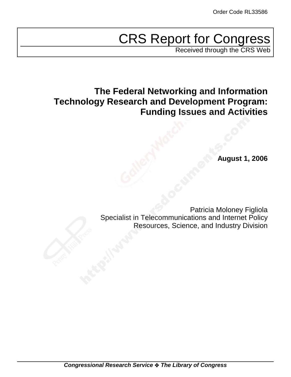# CRS Report for Congress

Received through the CRS Web

## **The Federal Networking and Information Technology Research and Development Program: Funding Issues and Activities**

**August 1, 2006**

Patricia Moloney Figliola Specialist in Telecommunications and Internet Policy Resources, Science, and Industry Division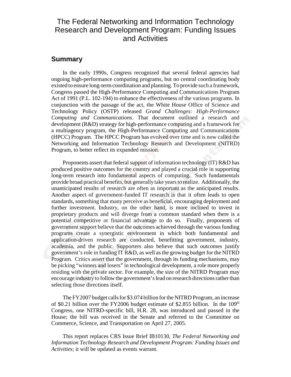## The Federal Networking and Information Technology Research and Development Program: Funding Issues and Activities

### **Summary**

In the early 1990s, Congress recognized that several federal agencies had ongoing high-performance computing programs, but no central coordinating body existed to ensure long-term coordination and planning. To provide such a framework, Congress passed the High-Performance Computing and Communications Program Act of 1991 (P.L. 102-194) to enhance the effectiveness of the various programs. In conjunction with the passage of the act, the White House Office of Science and Technology Policy (OSTP) released *Grand Challenges: High-Performance Computing and Communications*. That document outlined a research and development (R&D) strategy for high-performance computing and a framework for a multiagency program, the High-Performance Computing and Communications (HPCC) Program. The HPCC Program has evolved over time and is now called the Networking and Information Technology Research and Development (NITRD) Program, to better reflect its expanded mission.

Proponents assert that federal support of information technology (IT) R&D has produced positive outcomes for the country and played a crucial role in supporting long-term research into fundamental aspects of computing. Such fundamentals provide broad practical benefits, but generally take years to realize. Additionally, the unanticipated results of research are often as important as the anticipated results. Another aspect of government-funded IT research is that it often leads to open standards, something that many perceive as beneficial, encouraging deployment and further investment. Industry, on the other hand, is more inclined to invest in proprietary products and will diverge from a common standard when there is a potential competitive or financial advantage to do so. Finally, proponents of government support believe that the outcomes achieved through the various funding programs create a synergistic environment in which both fundamental and application-driven research are conducted, benefitting government, industry, academia, and the public. Supporters also believe that such outcomes justify government's role in funding IT R&D, as well as the growing budget for the NITRD Program. Critics assert that the government, through its funding mechanisms, may be picking "winners and losers" in technological development, a role more properly residing with the private sector. For example, the size of the NITRD Program may encourage industry to follow the government's lead on research directions rather than selecting those directions itself.

The FY2007 budget calls for \$3.074 billion for the NITRD Program, an increase of \$0.21 billion over the FY2006 budget estimate of \$2.855 billion. In the  $109<sup>th</sup>$ Congress, one NITRD-specific bill, H.R. 28, was introduced and passed in the House; the bill was received in the Senate and referred to the Committee on Commerce, Science, and Transportation on April 27, 2005.

This report replaces CRS Issue Brief IB10130, *The Federal Networking and Information Technology Research and Development Program: Funding Issues and Activities*; it will be updated as events warrant.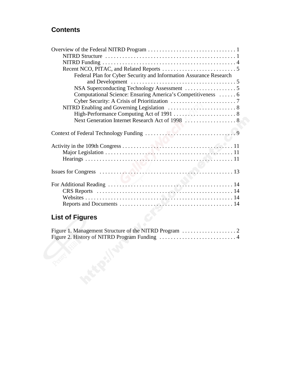## **Contents**

| Federal Plan for Cyber Security and Information Assurance Research |
|--------------------------------------------------------------------|
|                                                                    |
|                                                                    |
| Computational Science: Ensuring America's Competitiveness  6       |
|                                                                    |
|                                                                    |
| High-Performance Computing Act of 1991  8                          |
|                                                                    |
|                                                                    |
|                                                                    |
|                                                                    |
|                                                                    |
|                                                                    |
|                                                                    |
|                                                                    |
|                                                                    |
|                                                                    |
|                                                                    |
|                                                                    |
|                                                                    |
|                                                                    |

## **List of Figures**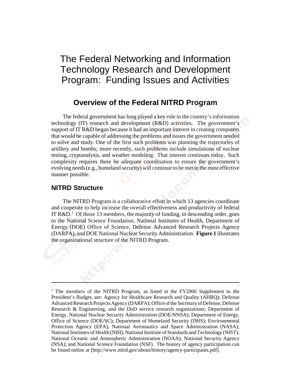## The Federal Networking and Information Technology Research and Development Program: Funding Issues and Activities

## **Overview of the Federal NITRD Program**

The federal government has long played a key role in the country's information technology (IT) research and development (R&D) activities. The government's support of IT R&D began because it had an important interest in creating computers that would be capable of addressing the problems and issues the government needed to solve and study. One of the first such problems was planning the trajectories of artillery and bombs; more recently, such problems include simulations of nuclear testing, cryptanalysis, and weather modeling. That interest continues today. Such complexity requires there be adequate coordination to ensure the government's evolving needs (e.g., homeland security) will continue to be met in the most effective manner possible.

#### **NITRD Structure**

The NITRD Program is a collaborative effort in which 13 agencies coordinate and cooperate to help increase the overall effectiveness and productivity of federal IT R&D.<sup>1</sup> Of those 13 members, the majority of funding, in descending order, goes to the National Science Foundation, National Institutes of Health, Department of Energy (DOE) Office of Science, Defense Advanced Research Projects Agency (DARPA), and DOE National Nuclear Security Administration. **Figure 1** illustrates the organizational structure of the NITRD Program.

<sup>&</sup>lt;sup>1</sup> The members of the NITRD Program, as listed in the FY2006 Supplement to the President's Budget, are: Agency for Healthcare Research and Quality (AHRQ); Defense Advanced Research Projects Agency (DARPA); Office of the Secretary of Defense, Defense Research & Engineering, and the DoD service research organizations; Department of Energy, National Nuclear Security Administration (DOE/NNSA); Department of Energy, Office of Science (DOE/SC); Department of Homeland Security (DHS); Environmental Protection Agency (EPA); National Aeronautics and Space Administration (NASA); National Institutes of Health (NIH); National Institute of Standards and Technology (NIST); National Oceanic and Atmospheric Administration (NOAA); National Security Agency (NSA); and National Science Foundation (NSF). The history of agency participation can be found online at [http://www.nitrd.gov/about/history/agency-participants.pdf].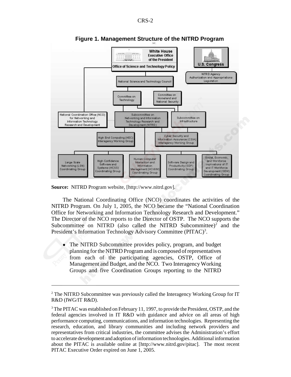

**Figure 1. Management Structure of the NITRD Program**

**Source:** NITRD Program website, [http://www.nitrd.gov].

The National Coordinating Office (NCO) coordinates the activities of the NITRD Program. On July 1, 2005, the NCO became the "National Coordination Office for Networking and Information Technology Research and Development." The Director of the NCO reports to the Director of OSTP. The NCO supports the Subcommittee on NITRD (also called the NITRD Subcommittee)<sup>2</sup> and the President's Information Technology Advisory Committee (PITAC)<sup>3</sup>.

! The NITRD Subcommittee provides policy, program, and budget planning for the NITRD Program and is composed of representatives from each of the participating agencies, OSTP, Office of Management and Budget, and the NCO. Two Interagency Working Groups and five Coordination Groups reporting to the NITRD

<sup>&</sup>lt;sup>2</sup> The NITRD Subcommittee was previously called the Interagency Working Group for IT R&D (IWG/IT R&D).

 $3$  The PITAC was established on February 11, 1997, to provide the President, OSTP, and the federal agencies involved in IT R&D with guidance and advice on all areas of high performance computing, communications, and information technologies. Representing the research, education, and library communities and including network providers and representatives from critical industries, the committee advises the Administration's effort to accelerate development and adoption of information technologies. Additional information about the PITAC is available online at [http://www.nitrd.gov/pitac]. The most recent PITAC Executive Order expired on June 1, 2005.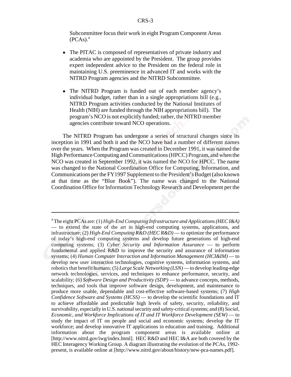Subcommittee focus their work in eight Program Component Areas  $(PCAS).<sup>4</sup>$ 

- The PITAC is composed of representatives of private industry and academia who are appointed by the President. The group provides expert independent advice to the President on the federal role in maintaining U.S. preeminence in advanced IT and works with the NITRD Program agencies and the NITRD Subcommittee.
- ! The NITRD Program is funded out of each member agency's individual budget, rather than in a single appropriations bill (e.g., NITRD Program activities conducted by the National Institutes of Health (NIH) are funded through the NIH appropriations bill). The program's NCO is not explicitly funded; rather, the NITRD member agencies contribute toward NCO operations.

The NITRD Program has undergone a series of structural changes since its inception in 1991 and both it and the NCO have had a number of different names over the years. When the Program was created in December 1991, it was named the High Performance Computing and Communications (HPCC) Program, and when the NCO was created in September 1992, it was named the NCO for HPCC. The name was changed to the National Coordination Office for Computing, Information, and Communications per the FY1997 Supplement to the President's Budget (also known at that time as the "Blue Book"). The name was changed to the National Coordination Office for Information Technology Research and Development per the

<sup>4</sup> The eight PCAs are: (1) *High-End Computing Infrastructure and Applications (HEC I&A)* — to extend the state of the art in high-end computing systems, applications, and infrastructure; (2) *High-End Computing R&D (HEC R&D)* — to optimize the performance of today's high-end computing systems and develop future generations of high-end computing systems; (3) *Cyber Security and Information Assurance* — to perform fundamental and applied R&D to improve the security and assurance of information systems; (4) *Human Computer Interaction and Information Management (HCI&IM)* — to develop new user interaction technologies, cognitive systems, information systems, and robotics that benefit humans; (5) *Large Scale Networking (LSN)* — to develop leading-edge network technologies, services, and techniques to enhance performance, security, and scalability; (6) *Software Design and Productivity (SDP)* — to advance concepts, methods, techniques, and tools that improve software design, development, and maintenance to produce more usable, dependable and cost-effective software-based systems; (7) *High Confidence Software and Systems (HCSS)* — to develop the scientific foundations and IT to achieve affordable and predictable high levels of safety, security, reliability, and survivability, especially in U.S. national security and safety-critical systems; and (8) *Social, Economic, and Workforce Implications of IT and IT Workforce Development (SEW)* — to study the impact of IT on people and social and economic systems; develop the IT workforce; and develop innovative IT applications in education and training. Additional information about the program component areas is available online at [http://www.nitrd.gov/iwg/index.html]. HEC R&D and HEC I&A are both covered by the HEC Interagency Working Group. A diagram illustrating the evolution of the PCAs, 1992 present, is available online at [http://www.nitrd.gov/about/history/new-pca-names.pdf].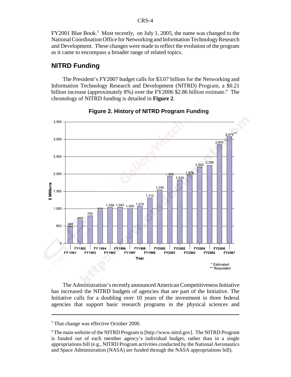FY2001 Blue Book.<sup>5</sup> Most recently, on July 1, 2005, the name was changed to the National Coordination Office for Networking and Information Technology Research and Development. These changes were made to reflect the evolution of the program as it came to encompass a broader range of related topics.

### **NITRD Funding**

The President's FY2007 budget calls for \$3.07 billion for the Networking and Information Technology Research and Development (NITRD) Program, a \$0.21 billion increase (approximately 8%) over the FY2006 \$2.86 billion estimate.<sup>6</sup> The chronology of NITRD funding is detailed in **Figure 2**.



**Figure 2. History of NITRD Program Funding**

The Administration's recently announced American Competitiveness Initiative has increased the NITRD budgets of agencies that are part of the Initiative. The Initiative calls for a doubling over 10 years of the investment in three federal agencies that support basic research programs in the physical sciences and

<sup>&</sup>lt;sup>5</sup> That change was effective October 2000.

<sup>&</sup>lt;sup>6</sup> The main website of the NITRD Program is [http://www.nitrd.gov]. The NITRD Program is funded out of each member agency's individual budget, rather than in a single appropriations bill (e.g., NITRD Program activities conducted by the National Aeronautics and Space Administration (NASA) are funded through the NASA appropriations bill).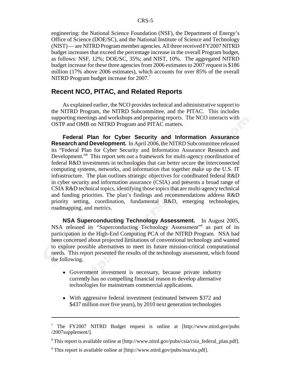engineering: the National Science Foundation (NSF), the Department of Energy's Office of Science (DOE/SC), and the National Institute of Science and Technology (NIST) — are NITRD Program member agencies. All three received FY2007 NITRD budget increases that exceed the percentage increase in the overall Program budget, as follows: NSF, 12%; DOE/SC, 35%; and NIST, 10%. The aggregated NITRD budget increase for these three agencies from 2006 estimates to 2007 request is \$186 million (17% above 2006 estimates), which accounts for over 85% of the overall NITRD Program budget increase for 2007.<sup>7</sup>

#### **Recent NCO, PITAC, and Related Reports**

As explained earlier, the NCO provides technical and administrative support to the NITRD Program, the NITRD Subcommittee, and the PITAC. This includes supporting meetings and workshops and preparing reports. The NCO interacts with OSTP and OMB on NITRD Program and PITAC matters.

**Federal Plan for Cyber Security and Information Assurance Research and Development.** In April 2006, the NITRD Subcommittee released its "Federal Plan for Cyber Security and Information Assurance Research and Development."8 This report sets out a framework for multi-agency coordination of federal R&D investments in technologies that can better secure the interconnected computing systems, networks, and information that together make up the U.S. IT infrastructure. The plan outlines strategic objectives for coordinated federal R&D in cyber security and information assurance (CSIA) and presents a broad range of CSIA R&D technical topics, identifying those topics that are multi-agency technical and funding priorities. The plan's findings and recommendations address R&D priority setting, coordination, fundamental R&D, emerging technologies, roadmapping, and metrics.

**NSA Superconducting Technology Assessment.** In August 2005, NSA released its "Superconducting Technology Assessment"<sup>9</sup> as part of its participation in the High-End Computing PCA of the NITRD Program. NSA had been concerned about projected limitations of conventional technology and wanted to explore possible alternatives to meet its future mission-critical computational needs. This report presented the results of the technology assessment, which found the following.

- ! Government investment is necessary, because private industry currently has no compelling financial reason to develop alternative technologies for mainstream commercial applications.
- ! With aggressive federal investment (estimated between \$372 and \$437 million over five years), by 2010 next generation technologies

<sup>&</sup>lt;sup>7</sup> The FY2007 NITRD Budget request is online at [http://www.nitrd.gov/pubs /2007supplement/].

<sup>&</sup>lt;sup>8</sup> This report is available online at [http://www.nitrd.gov/pubs/csia/csia\_federal\_plan.pdf].

<sup>&</sup>lt;sup>9</sup> This report is available online at [http://www.nitrd.gov/pubs/nsa/sta.pdf].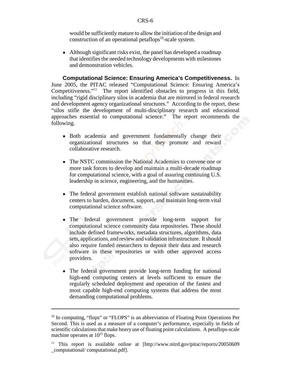would be sufficiently mature to allow the initiation of the design and construction of an operational petaflops $10$ -scale system.

• Although significant risks exist, the panel has developed a roadmap that identifies the needed technology developments with milestones and demonstration vehicles.

**Computational Science: Ensuring America's Competitiveness.** In June 2005, the PITAC released "Computational Science: Ensuring America's Competitiveness."11 The report identified obstacles to progress in this field, including "rigid disciplinary silos in academia that are mirrored in federal research and development agency organizational structures." According to the report, these "silos stifle the development of multi-disciplinary research and educational approaches essential to computational science." The report recommends the following.

- ! Both academia and government fundamentally change their organizational structures so that they promote and reward collaborative research.
- The NSTC commission the National Academies to convene one or more task forces to develop and maintain a multi-decade roadmap for computational science, with a goal of assuring continuing U.S. leadership in science, engineering, and the humanities.
- The federal government establish national software sustainability centers to harden, document, support, and maintain long-term vital computational science software.
- ! The federal government provide long-term support for computational science community data repositories. These should include defined frameworks, metadata structures, algorithms, data sets, applications, and review and validation infrastructure. It should also require funded researchers to deposit their data and research software in these repositories or with other approved access providers.
- The federal government provide long-term funding for national high-end computing centers at levels sufficient to ensure the regularly scheduled deployment and operation of the fastest and most capable high-end computing systems that address the most demanding computational problems.

 $10$  In computing, "flops" or "FLOPS" is an abbreviation of Floating Point Operations Per Second. This is used as a measure of a computer's performance, especially in fields of scientific calculations that make heavy use of floating point calculations. A petaflops-scale machine operates at  $10^{15}$  flops.

<sup>&</sup>lt;sup>11</sup> This report is available online at [http://www.nitrd.gov/pitac/reports/20050609 \_computational/ computational.pdf].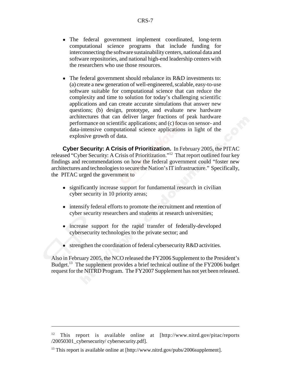- The federal government implement coordinated, long-term computational science programs that include funding for interconnecting the software sustainability centers, national data and software repositories, and national high-end leadership centers with the researchers who use those resources.
- The federal government should rebalance its R&D investments to: (a) create a new generation of well-engineered, scalable, easy-to-use software suitable for computational science that can reduce the complexity and time to solution for today's challenging scientific applications and can create accurate simulations that answer new questions; (b) design, prototype, and evaluate new hardware architectures that can deliver larger fractions of peak hardware performance on scientific applications; and (c) focus on sensor- and data-intensive computational science applications in light of the explosive growth of data.

**Cyber Security: A Crisis of Prioritization.** In February 2005, the PITAC released "Cyber Security: A Crisis of Prioritization."12 That report outlined four key findings and recommendations on how the federal government could "foster new architectures and technologies to secure the Nation's IT infrastructure." Specifically, the PITAC urged the government to

- significantly increase support for fundamental research in civilian cyber security in 10 priority areas;
- intensify federal efforts to promote the recruitment and retention of cyber security researchers and students at research universities;
- increase support for the rapid transfer of federally-developed cybersecurity technologies to the private sector; and
- $\bullet$  strengthen the coordination of federal cybersecurity R&D activities.

Also in February 2005, the NCO released the FY2006 Supplement to the President's Budget.<sup>13</sup> The supplement provides a brief technical outline of the FY2006 budget request for the NITRD Program. The FY2007 Supplement has not yet been released.

<sup>&</sup>lt;sup>12</sup> This report is available online at [http://www.nitrd.gov/pitac/reports] /20050301\_cybersecurity/ cybersecurity.pdf].

 $13$  This report is available online at [http://www.nitrd.gov/pubs/2006supplement].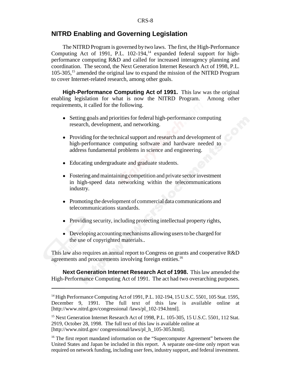## **NITRD Enabling and Governing Legislation**

The NITRD Program is governed by two laws. The first, the High-Performance Computing Act of 1991, P.L.  $102-194$ ,<sup>14</sup> expanded federal support for highperformance computing R&D and called for increased interagency planning and coordination. The second, the Next Generation Internet Research Act of 1998, P.L. 105-305,15 amended the original law to expand the mission of the NITRD Program to cover Internet-related research, among other goals.

**High-Performance Computing Act of 1991.** This law was the original enabling legislation for what is now the NITRD Program. Among other requirements, it called for the following.

- ! Setting goals and priorities for federal high-performance computing research, development, and networking.
- Providing for the technical support and research and development of high-performance computing software and hardware needed to address fundamental problems in science and engineering.
- ! Educating undergraduate and graduate students.
- Fostering and maintaining competition and private sector investment in high-speed data networking within the telecommunications industry.
- Promoting the development of commercial data communications and telecommunications standards.
- Providing security, including protecting intellectual property rights,
- Developing accounting mechanisms allowing users to be charged for the use of copyrighted materials..

This law also requires an annual report to Congress on grants and cooperative R&D agreements and procurements involving foreign entities.<sup>16</sup>

**Next Generation Internet Research Act of 1998.** This law amended the High-Performance Computing Act of 1991. The act had two overarching purposes.

<sup>&</sup>lt;sup>14</sup> High Performance Computing Act of 1991, P.L. 102-194, 15 U.S.C. 5501, 105 Stat. 1595, December 9, 1991. The full text of this law is available online at [http://www.nitrd.gov/congressional /laws/pl\_102-194.html].

<sup>&</sup>lt;sup>15</sup> Next Generation Internet Research Act of 1998, P.L. 105-305, 15 U.S.C. 5501, 112 Stat. 2919, October 28, 1998. The full text of this law is available online at [http://www.nitrd.gov/ congressional/laws/pl\_h\_105-305.html].

<sup>&</sup>lt;sup>16</sup> The first report mandated information on the "Supercomputer Agreement" between the United States and Japan be included in this report. A separate one-time only report was required on network funding, including user fees, industry support, and federal investment.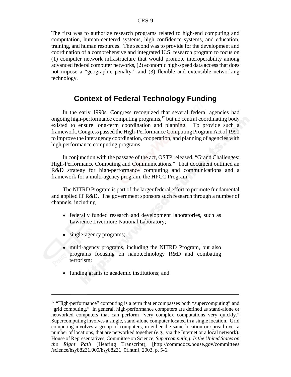The first was to authorize research programs related to high-end computing and computation, human-centered systems, high confidence systems, and education, training, and human resources. The second was to provide for the development and coordination of a comprehensive and integrated U.S. research program to focus on (1) computer network infrastructure that would promote interoperability among advanced federal computer networks, (2) economic high-speed data access that does not impose a "geographic penalty." and (3) flexible and extensible networking technology.

## **Context of Federal Technology Funding**

In the early 1990s, Congress recognized that several federal agencies had ongoing high-performance computing programs, $17$  but no central coordinating body existed to ensure long-term coordination and planning. To provide such a framework, Congress passed the High-Performance Computing Program Act of 1991 to improve the interagency coordination, cooperation, and planning of agencies with high performance computing programs

In conjunction with the passage of the act, OSTP released, "Grand Challenges: High-Performance Computing and Communications." That document outlined an R&D strategy for high-performance computing and communications and a framework for a multi-agency program, the HPCC Program.

The NITRD Program is part of the larger federal effort to promote fundamental and applied IT R&D. The government sponsors such research through a number of channels, including

- federally funded research and development laboratories, such as Lawrence Livermore National Laboratory;
- single-agency programs;
- multi-agency programs, including the NITRD Program, but also programs focusing on nanotechnology R&D and combating terrorism;
- funding grants to academic institutions; and

 $17$  "High-performance" computing is a term that encompasses both "supercomputing" and "grid computing." In general, high-performance computers are defined as stand-alone or networked computers that can perform "very complex computations very quickly." Supercomputing involves a single, stand-alone computer located in a single location. Grid computing involves a group of computers, in either the same location or spread over a number of locations, that are networked together (e.g., via the Internet or a local network). House of Representatives, Committee on Science, *Supercomputing: Is the United States on the Right Path* (Hearing Transcript), [http://commdocs.house.gov/committees /science/hsy88231.000/hsy88231\_0f.htm], 2003, p. 5-6.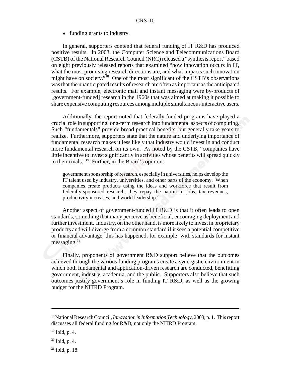#### • funding grants to industry.

In general, supporters contend that federal funding of IT R&D has produced positive results. In 2003, the Computer Science and Telecommunications Board (CSTB) of the National Research Council (NRC) released a "synthesis report" based on eight previously released reports that examined "how innovation occurs in IT, what the most promising research directions are, and what impacts such innovation might have on society."18 One of the most significant of the CSTB's observations was that the unanticipated results of research are often as important as the anticipated results. For example, electronic mail and instant messaging were by-products of [government-funded] research in the 1960s that was aimed at making it possible to share expensive computing resources among multiple simultaneous interactive users.

Additionally, the report noted that federally funded programs have played a crucial role in supporting long-term research into fundamental aspects of computing. Such "fundamentals" provide broad practical benefits, but generally take years to realize. Furthermore, supporters state that the nature and underlying importance of fundamental research makes it less likely that industry would invest in and conduct more fundamental research on its own. As noted by the CSTB, "companies have little incentive to invest significantly in activities whose benefits will spread quickly to their rivals."19 Further, in the Board's opinion:

government sponsorship of research, especially in universities, helps develop the IT talent used by industry, universities, and other parts of the economy. When companies create products using the ideas and workforce that result from federally-sponsored research, they repay the nation in jobs, tax revenues, productivity increases, and world leadership.20

Another aspect of government-funded IT R&D is that it often leads to open standards, something that many perceive as beneficial, encouraging deployment and further investment. Industry, on the other hand, is more likely to invest in proprietary products and will diverge from a common standard if it sees a potential competitive or financial advantage; this has happened, for example with standards for instant  $m$ essaging.<sup>21</sup>

Finally, proponents of government R&D support believe that the outcomes achieved through the various funding programs create a synergistic environment in which both fundamental and application-driven research are conducted, benefitting government, industry, academia, and the public. Supporters also believe that such outcomes justify government's role in funding IT R&D, as well as the growing budget for the NITRD Program.

<sup>18</sup> National Research Council, *Innovation in Information Technology*, 2003, p. 1. This report discusses all federal funding for R&D, not only the NITRD Program.

 $19$  Ibid, p. 4.

 $20$  Ibid, p. 4.

 $21$  Ibid, p. 18.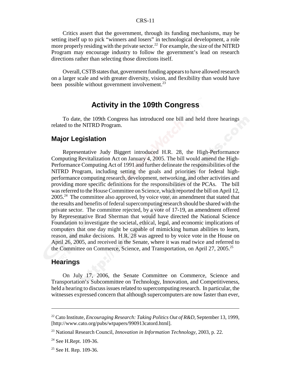Critics assert that the government, through its funding mechanisms, may be setting itself up to pick "winners and losers" in technological development, a role more properly residing with the private sector.<sup>22</sup> For example, the size of the NITRD Program may encourage industry to follow the government's lead on research directions rather than selecting those directions itself.

Overall, CSTB states that, government funding appears to have allowed research on a larger scale and with greater diversity, vision, and flexibility than would have been possible without government involvement. $^{23}$ 

### **Activity in the 109th Congress**

To date, the 109th Congress has introduced one bill and held three hearings related to the NITRD Program.

#### **Major Legislation**

Representative Judy Biggert introduced H.R. 28, the High-Performance Computing Revitalization Act on January 4, 2005. The bill would amend the High-Performance Computing Act of 1991 and further delineate the responsibilities of the NITRD Program, including setting the goals and priorities for federal highperformance computing research, development, networking, and other activities and providing more specific definitions for the responsibilities of the PCAs. The bill was referred to the House Committee on Science, which reported the bill on April 12,  $2005.<sup>24</sup>$  The committee also approved, by voice vote, an amendment that stated that the results and benefits of federal supercomputing research should be shared with the private sector. The committee rejected, by a vote of 17-19, an amendment offered by Representative Brad Sherman that would have directed the National Science Foundation to investigate the societal, ethical, legal, and economic implications of computers that one day might be capable of mimicking human abilities to learn, reason, and make decisions. H.R. 28 was agreed to by voice vote in the House on April 26, 2005, and received in the Senate, where it was read twice and referred to the Committee on Commerce, Science, and Transportation, on April 27, 2005.<sup>25</sup>

#### **Hearings**

On July 17, 2006, the Senate Committee on Commerce, Science and Transportation's Subcommittee on Technology, Innovation, and Competitiveness, held a hearing to discuss issues related to supercomputing research. In particular, the witnesses expressed concern that although supercomputers are now faster than ever,

<sup>22</sup> Cato Institute, *Encouraging Research: Taking Politics Out of R&D*, September 13, 1999, [http://www.cato.org/pubs/wtpapers/990913catord.html].

<sup>23</sup> National Research Council, *Innovation in Information Technology*, 2003, p. 22.

<sup>&</sup>lt;sup>24</sup> See H.Rept. 109-36.

 $25$  See H. Rep. 109-36.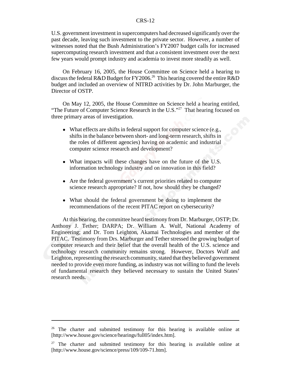U.S. government investment in supercomputers had decreased significantly over the past decade, leaving such investment to the private sector. However, a number of witnesses noted that the Bush Administration's FY2007 budget calls for increased supercomputing research investment and that a consistent investment over the next few years would prompt industry and academia to invest more steadily as well.

On February 16, 2005, the House Committee on Science held a hearing to discuss the federal R&D Budget for FY2006.<sup>26</sup> This hearing covered the entire R&D budget and included an overview of NITRD activities by Dr. John Marburger, the Director of OSTP.

On May 12, 2005, the House Committee on Science held a hearing entitled, "The Future of Computer Science Research in the U.S."<sup>27</sup> That hearing focused on three primary areas of investigation.

- What effects are shifts in federal support for computer science (e.g., shifts in the balance between short- and long-term research, shifts in the roles of different agencies) having on academic and industrial computer science research and development?
- What impacts will these changes have on the future of the U.S. information technology industry and on innovation in this field?
- Are the federal government's current priorities related to computer science research appropriate? If not, how should they be changed?
- What should the federal government be doing to implement the recommendations of the recent PITAC report on cybersecurity?

At this hearing, the committee heard testimony from Dr. Marburger, OSTP; Dr. Anthony J. Tether; DARPA; Dr. William A. Wulf, National Academy of Engineering; and Dr. Tom Leighton, Akamai Technologies and member of the PITAC. Testimony from Drs. Marburger and Tether stressed the growing budget of computer research and their belief that the overall health of the U.S. science and technology research community remains strong. However, Doctors Wulf and Leighton, representing the research community, stated that they believed government needed to provide even more funding, as industry was not willing to fund the levels of fundamental research they believed necessary to sustain the United States' research needs.

<sup>&</sup>lt;sup>26</sup> The charter and submitted testimony for this hearing is available online at [http://www.house.gov/science/hearings/full05/index.htm].

 $27$  The charter and submitted testimony for this hearing is available online at [http://www.house.gov/science/press/109/109-71.htm].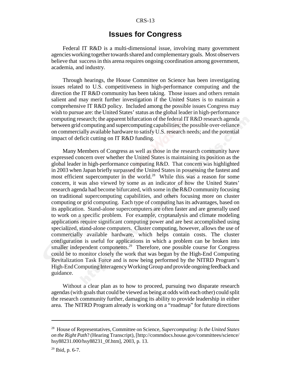## **Issues for Congress**

Federal IT R&D is a multi-dimensional issue, involving many government agencies working together towards shared and complementary goals. Most observers believe that success in this arena requires ongoing coordination among government, academia, and industry.

Through hearings, the House Committee on Science has been investigating issues related to U.S. competitiveness in high-performance computing and the direction the IT R&D community has been taking. Those issues and others remain salient and may merit further investigation if the United States is to maintain a comprehensive IT R&D policy. Included among the possible issues Congress may wish to pursue are: the United States' status as the global leader in high-performance computing research; the apparent bifurcation of the federal IT R&D research agenda between grid computing and supercomputing capabilities; the possible over-reliance on commercially available hardware to satisfy U.S. research needs; and the potential impact of deficit cutting on IT R&D funding.

Many Members of Congress as well as those in the research community have expressed concern over whether the United States is maintaining its position as the global leader in high-performance computing R&D. That concern was highlighted in 2003 when Japan briefly surpassed the United States in possessing the fastest and most efficient supercomputer in the world.<sup>28</sup> While this was a reason for some concern, it was also viewed by some as an indicator of how the United States' research agenda had become bifurcated, with some in the R&D community focusing on traditional supercomputing capabilities, and others focusing more on cluster computing or grid computing. Each type of computing has its advantages, based on its application. Stand-alone supercomputers are often faster and are generally used to work on a specific problem. For example, cryptanalysis and climate modeling applications require significant computing power and are best accomplished using specialized, stand-alone computers. Cluster computing, however, allows the use of commercially available hardware, which helps contain costs. The cluster configuration is useful for applications in which a problem can be broken into smaller independent components.<sup>29</sup> Therefore, one possible course for Congress could be to monitor closely the work that was begun by the High-End Computing Revitalization Task Force and is now being performed by the NITRD Program's High-End Computing Interagency Working Group and provide ongoing feedback and guidance.

Without a clear plan as to how to proceed, pursuing two disparate research agendas (with goals that could be viewed as being at odds with each other) could split the research community further, damaging its ability to provide leadership in either area. The NITRD Program already is working on a "roadmap" for future directions

<sup>28</sup> House of Representatives, Committee on Science, *Supercomputing: Is the United States on the Right Path*? (Hearing Transcript), [http://commdocs.house.gov/committees/science/ hsy88231.000/hsy88231\_0f.htm], 2003, p. 13.

 $29$  Ibid, p. 6-7.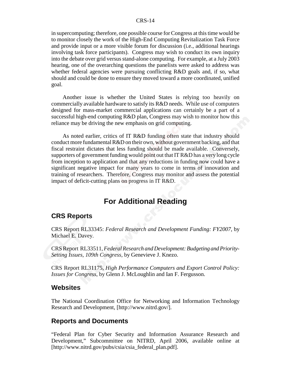in supercomputing; therefore, one possible course for Congress at this time would be to monitor closely the work of the High-End Computing Revitalization Task Force and provide input or a more visible forum for discussion (i.e., additional hearings involving task force participants). Congress may wish to conduct its own inquiry into the debate over grid versus stand-alone computing. For example, at a July 2003 hearing, one of the overarching questions the panelists were asked to address was whether federal agencies were pursuing conflicting R&D goals and, if so, what should and could be done to ensure they moved toward a more coordinated, unified goal.

Another issue is whether the United States is relying too heavily on commercially available hardware to satisfy its R&D needs. While use of computers designed for mass-market commercial applications can certainly be a part of a successful high-end computing R&D plan, Congress may wish to monitor how this reliance may be driving the new emphasis on grid computing.

As noted earlier, critics of IT R&D funding often state that industry should conduct more fundamental R&D on their own, without government backing, and that fiscal restraint dictates that less funding should be made available. Conversely, supporters of government funding would point out that IT R&D has a very long cycle from inception to application and that any reductions in funding now could have a significant negative impact for many years to come in terms of innovation and training of researchers. Therefore, Congress may monitor and assess the potential impact of deficit-cutting plans on progress in IT R&D.

## **For Additional Reading**

#### **CRS Reports**

CRS Report RL33345: *Federal Research and Development Funding: FY2007*, by Michael E. Davey.

CRS Report RL33511, *Federal Research and Development: Budgeting and Priority-Setting Issues, 109th Congress*, by Genevieve J. Knezo.

CRS Report RL31175, *High Performance Computers and Export Control Policy: Issues for Congress*, by Glenn J. McLoughlin and Ian F. Fergusson.

#### **Websites**

The National Coordination Office for Networking and Information Technology Research and Development, [http://www.nitrd.gov/].

#### **Reports and Documents**

"Federal Plan for Cyber Security and Information Assurance Research and Development," Subcommittee on NITRD, April 2006, available online at [http://www.nitrd.gov/pubs/csia/csia\_federal\_plan.pdf].